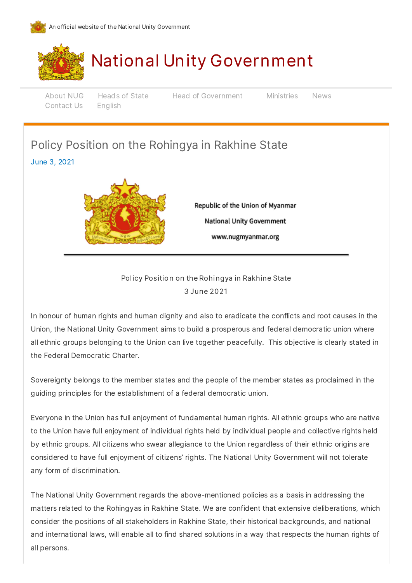



# National Unity [Government](https://gov.nugmyanmar.org/)

[Contact](https://gov.nugmyanmar.org/#contact-us) Us English

[About](https://gov.nugmyanmar.org/about-nug/) NUG Heads of State Head of Government [Ministries](https://gov.nugmyanmar.org/ministries/) [News](https://gov.nugmyanmar.org/news/)

# Policy Position on the Rohingya in Rakhine State

### June 3, 2021



Republic of the Union of Myanmar **National Unity Government** www.nugmyanmar.org

## Policy Position on the Rohingya in Rakhine State 3 June 2021

In honour of human rights and human dignity and also to eradicate the conflicts and root causes in the Union, the National Unity Government aims to build a prosperous and federal democratic union where all ethnic groups belonging to the Union can live together peacefully. This objective is clearly stated in the Federal Democratic Charter.

Sovereignty belongs to the member states and the people of the member states as proclaimed in the guiding principles for the establishment of a federal democratic union.

Everyone in the Union has full enjoyment of fundamental human rights. All ethnic groups who are native to the Union have full enjoyment of individual rights held by individual people and collective rights held by ethnic groups. All citizens who swear allegiance to the Union regardless of their ethnic origins are considered to have full enjoyment of citizens' rights. The National Unity Government will not tolerate any form of discrimination.

The National Unity Government regards the above-mentioned policies as a basis in addressing the matters related to the Rohingyas in Rakhine State. We are confident that extensive deliberations, which consider the positions of all stakeholders in Rakhine State, their historical backgrounds, and national and international laws, will enable all to find shared solutions in a way that respects the human rights of all persons.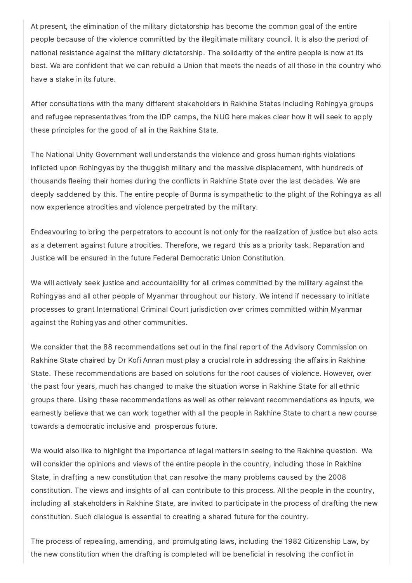At present, the elimination of the military dictatorship has become the common goal of the entire people because of the violence committed by the illegitimate military council. It is also the period of national resistance against the military dictatorship. The solidarity of the entire people is now at its best. We are confident that we can rebuild a Union that meets the needs of all those in the country who have a stake in its future.

After consultations with the many different stakeholders in Rakhine States including Rohingya groups and refugee representatives from the IDP camps, the NUG here makes clear how it will seek to apply these principles for the good of all in the Rakhine State.

The National Unity Government well understands the violence and gross human rights violations inflicted upon Rohingyas by the thuggish military and the massive displacement, with hundreds of thousands fleeing their homes during the conflicts in Rakhine State over the last decades. We are deeply saddened by this. The entire people of Burma is sympathetic to the plight of the Rohingya as all now experience atrocities and violence perpetrated by the military.

Endeavouring to bring the perpetrators to account is not only for the realization of justice but also acts as a deterrent against future atrocities. Therefore, we regard this as a priority task. Reparation and Justice will be ensured in the future Federal Democratic Union Constitution.

We will actively seek justice and accountability for all crimes committed by the military against the Rohingyas and all other people of Myanmar throughout our history. We intend if necessary to initiate processes to grant International Criminal Court jurisdiction over crimes committed within Myanmar against the Rohingyas and other communities.

We consider that the 88 recommendations set out in the final report of the Advisory Commission on Rakhine State chaired by Dr Kofi Annan must play a crucial role in addressing the affairs in Rakhine State. These recommendations are based on solutions for the root causes of violence. However, over the past four years, much has changed to make the situation worse in Rakhine State for all ethnic groups there. Using these recommendations as well as other relevant recommendations as inputs, we earnestly believe that we can work together with all the people in Rakhine State to chart a new course towards a democratic inclusive and prosperous future.

We would also like to highlight the importance of legal matters in seeing to the Rakhine question. We will consider the opinions and views of the entire people in the country, including those in Rakhine State, in drafting a new constitution that can resolve the many problems caused by the 2008 constitution. The views and insights of all can contribute to this process. All the people in the country, including all stakeholders in Rakhine State, are invited to participate in the process of drafting the new constitution. Such dialogue is essential to creating a shared future for the country.

The process of repealing, amending, and promulgating laws, including the 1982 Citizenship Law, by the new constitution when the drafting is completed will be beneficial in resolving the conflict in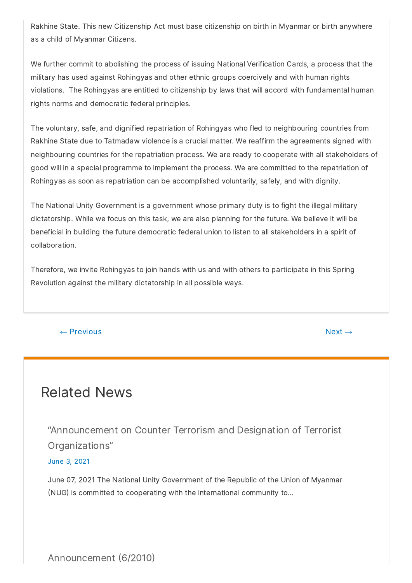Rakhine State. This new Citizenship Act must base citizenship on birth in Myanmar or birth anywhere as a child of Myanmar Citizens.

We further commit to abolishing the process of issuing National Verification Cards, a process that the military has used against Rohingyas and other ethnic groups coercively and with human rights violations. The Rohingyas are entitled to citizenship by laws that will accord with fundamental human rights norms and democratic federal principles.

The voluntary, safe, and dignified repatriation of Rohingyas who fled to neighbouring countries from Rakhine State due to Tatmadaw violence is a crucial matter. We reaffirm the agreements signed with neighbouring countries for the repatriation process. We are ready to cooperate with all stakeholders of good will in a special programme to implement the process. We are committed to the repatriation of Rohingyas as soon as repatriation can be accomplished voluntarily, safely, and with dignity.

The National Unity Government is a government whose primary duty is to fight the illegal military dictatorship. While we focus on this task, we are also planning for the future. We believe it will be beneficial in building the future democratic federal union to listen to all stakeholders in a spirit of collaboration.

Therefore, we invite Rohingyas to join hands with us and with others to participate in this Spring Revolution against the military dictatorship in all possible ways.

### $\leftarrow$  [Previous](https://gov.nugmyanmar.org/2021/05/30/press-statement-1-2021/)  $\rightarrow$

# Related News

["Announcement](https://gov.nugmyanmar.org/2021/06/18/announcement-on-counter-terrorism-and-designation-of-terrorist-organizations/) on Counter Terrorism and Designation of Terrorist Organizations"

### June 3, 2021

June 07, 2021 The National Unity Government of the Republic of the Union of Myanmar (NUG) is committed to cooperating with the international community to...